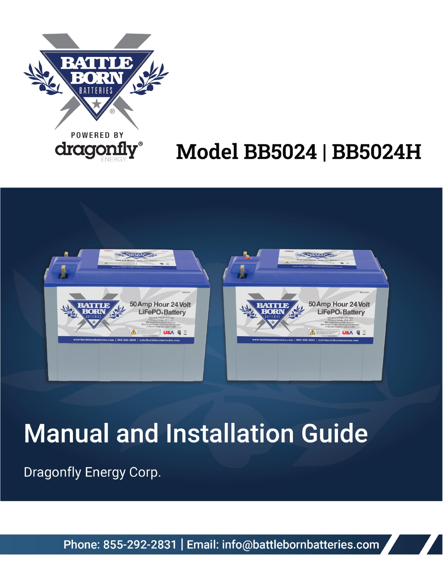

# **Model BB5024 | BB5024H**



# **Manual and Installation Guide**

Dragonfly Energy Corp.

Phone: 855-292-2831 | Email: info@battlebornbatteries.com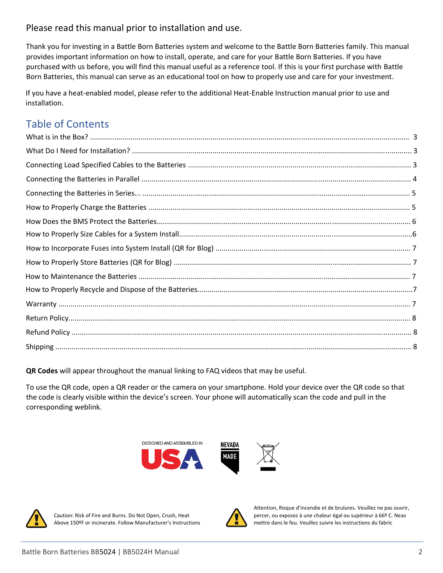# Please read this manual prior to installation and use.

Thank you for investing in a Battle Born Batteries system and welcome to the Battle Born Batteries family. This manual provides important information on how to install, operate, and care for your Battle Born Batteries. If you have purchased with us before, you will find this manual useful as a reference tool. If this is your first purchase with Battle Born Batteries, this manual can serve as an educational tool on how to properly use and care for your investment.

If you have a heat-enabled model, please refer to the additional Heat-Enable Instruction manual prior to use and installation.

# Table of Contents

**QR Codes** will appear throughout the manual linking to FAQ videos that may be useful.

To use the QR code, open a QR reader or the camera on your smartphone. Hold your device over the QR code so that the code is clearly visible within the device's screen. Your phone will automatically scan the code and pull in the corresponding weblink.







Above 150ºF or incinerate. Follow Manufacturer's Instructions mettre dans le feu. Veuillez suivre les instructions du fabric



 Attention, Risque d'incendie et de brulures. Veuillez ne pas ouvrir, Caution: Risk of Fire and Burns. Do Not Open, Crush, Heat percer, ou exposez à une chaleur égal ou supérieur à 66º C. Neas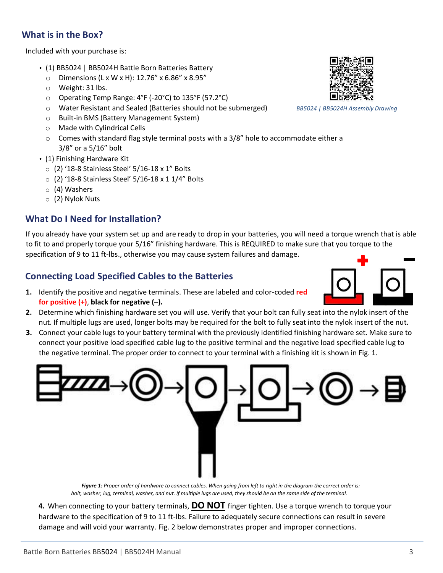# **What is in the Box?**

Included with your purchase is:

- (1) BB5024 | BB5024H Battle Born Batteries Battery
	- $\circ$  Dimensions (L x W x H): 12.76" x 6.86" x 8.95"
	- o Weight: 31 lbs.
	- o Operating Temp Range: 4°F (-20°C) to 135°F (57.2°C)
	- o Water Resistant and Sealed (Batteries should not be submerged) *BB5024 | BB5024H Assembly Drawing*
	- o Built-in BMS (Battery Management System)
	- o Made with Cylindrical Cells
	- $\circ$  Comes with standard flag style terminal posts with a 3/8" hole to accommodate either a 3/8" or a 5/16" bolt
- (1) Finishing Hardware Kit
	- $\circ$  (2) '18-8 Stainless Steel' 5/16-18 x 1" Bolts
	- o (2) '18-8 Stainless Steel' 5/16-18 x 1 1/4" Bolts
	- o (4) Washers
	- o (2) Nylok Nuts

# **What Do I Need for Installation?**

If you already have your system set up and are ready to drop in your batteries, you will need a torque wrench that is able to fit to and properly torque your 5/16" finishing hardware. This is REQUIRED to make sure that you torque to the specification of 9 to 11 ft-lbs., otherwise you may cause system failures and damage.

# **Connecting Load Specified Cables to the Batteries**

- **1.** Identify the positive and negative terminals. These are labeled and color-coded **red for positive (+)**, **black for negative (–).**
- **2.** Determine which finishing hardware set you will use. Verify that your bolt can fully seat into the nylok insert of the nut. If multiple lugs are used, longer bolts may be required for the bolt to fully seat into the nylok insert of the nut.
- **3.** Connect your cable lugs to your battery terminal with the previously identified finishing hardware set. Make sure to connect your positive load specified cable lug to the positive terminal and the negative load specified cable lug to the negative terminal. The proper order to connect to your terminal with a finishing kit is shown in Fig. 1.



 *Figure 1: Proper order of hardware to connect cables. When going from left to right in the diagram the correct order is: bolt, washer, lug, terminal, washer, and nut. If multiple lugs are used, they should be on the same side of the terminal.*

**4.** When connecting to your battery terminals, **DO NOT** finger tighten. Use a torque wrench to torque your hardware to the specification of 9 to 11 ft-lbs. Failure to adequately secure connections can result in severe damage and will void your warranty. Fig. 2 below demonstrates proper and improper connections.

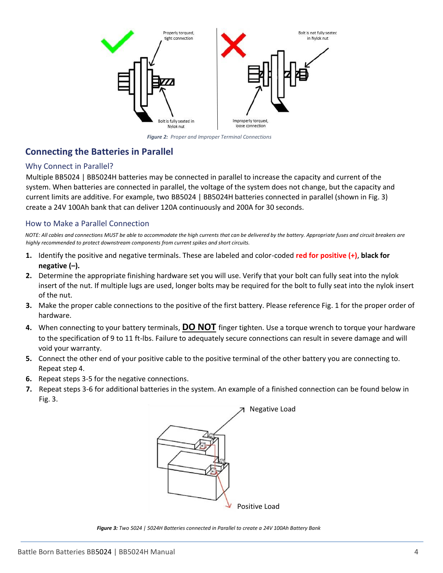

*Figure 2: Proper and Improper Terminal Connections*

# **Connecting the Batteries in Parallel**

#### Why Connect in Parallel?

Multiple BB5024 | BB5024H batteries may be connected in parallel to increase the capacity and current of the system. When batteries are connected in parallel, the voltage of the system does not change, but the capacity and current limits are additive. For example, two BB5024 | BB5024H batteries connected in parallel (shown in Fig. 3) create a 24V 100Ah bank that can deliver 120A continuously and 200A for 30 seconds.

#### How to Make a Parallel Connection

*NOTE: All cables and connections MUST be able to accommodate the high currents that can be delivered by the battery. Appropriate fuses and circuit breakers are highly recommended to protect downstream components from current spikes and short circuits.* 

- **1.** Identify the positive and negative terminals. These are labeled and color-coded **red for positive (+)**, **black for negative (–).**
- **2.** Determine the appropriate finishing hardware set you will use. Verify that your bolt can fully seat into the nylok insert of the nut. If multiple lugs are used, longer bolts may be required for the bolt to fully seat into the nylok insert of the nut.
- **3.** Make the proper cable connections to the positive of the first battery. Please reference Fig. 1 for the proper order of hardware.
- **4.** When connecting to your battery terminals, **DO NOT** finger tighten. Use a torque wrench to torque your hardware to the specification of 9 to 11 ft-lbs. Failure to adequately secure connections can result in severe damage and will void your warranty.
- **5.** Connect the other end of your positive cable to the positive terminal of the other battery you are connecting to. Repeat step 4.
- **6.** Repeat steps 3-5 for the negative connections.
- **7.** Repeat steps 3-6 for additional batteries in the system. An example of a finished connection can be found below in Fig. 3.



*Figure 3: Two 5024 | 5024H Batteries connected in Parallel to create a 24V 100Ah Battery Bank*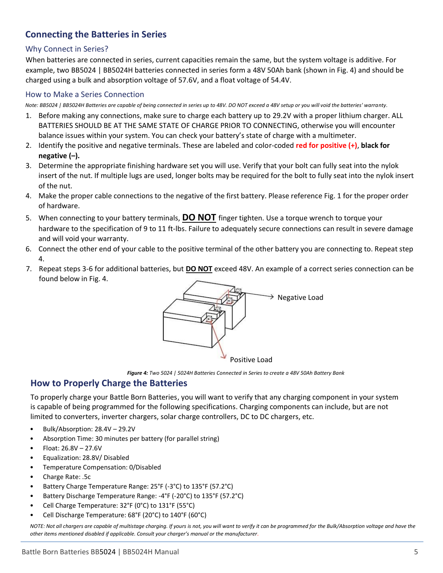# **Connecting the Batteries in Series**

#### Why Connect in Series?

When batteries are connected in series, current capacities remain the same, but the system voltage is additive. For example, two BB5024 | BB5024H batteries connected in series form a 48V 50Ah bank (shown in Fig. 4) and should be charged using a bulk and absorption voltage of 57.6V, and a float voltage of 54.4V.

#### How to Make a Series Connection

*Note: BB5024 | BB5024H Batteries are capable of being connected in series up to 48V. DO NOT exceed a 48V setup or you will void the batteries' warranty*.

- 1. Before making any connections, make sure to charge each battery up to 29.2V with a proper lithium charger. ALL BATTERIES SHOULD BE AT THE SAME STATE OF CHARGE PRIOR TO CONNECTING, otherwise you will encounter balance issues within your system. You can check your battery's state of charge with a multimeter.
- 2. Identify the positive and negative terminals. These are labeled and color-coded **red for positive (+)**, **black for negative (–).**
- 3. Determine the appropriate finishing hardware set you will use. Verify that your bolt can fully seat into the nylok insert of the nut. If multiple lugs are used, longer bolts may be required for the bolt to fully seat into the nylok insert of the nut.
- 4. Make the proper cable connections to the negative of the first battery. Please reference Fig. 1 for the proper order of hardware.
- 5. When connecting to your battery terminals, **DO NOT** finger tighten. Use a torque wrench to torque your hardware to the specification of 9 to 11 ft-lbs. Failure to adequately secure connections can result in severe damage and will void your warranty.
- 6. Connect the other end of your cable to the positive terminal of the other battery you are connecting to. Repeat step 4.
- 7. Repeat steps 3-6 for additional batteries, but **DO NOT** exceed 48V. An example of a correct series connection can be found below in Fig. 4.



*Figure 4: Two 5024 | 5024H Batteries Connected in Series to create a 48V 50Ah Battery Bank*

# **How to Properly Charge the Batteries**

To properly charge your Battle Born Batteries, you will want to verify that any charging component in your system is capable of being programmed for the following specifications. Charging components can include, but are not limited to converters, inverter chargers, solar charge controllers, DC to DC chargers, etc.

- Bulk/Absorption: 28.4V 29.2V
- Absorption Time: 30 minutes per battery (for parallel string)
- Float: 26.8V 27.6V
- Equalization: 28.8V/ Disabled
- Temperature Compensation: 0/Disabled
- Charge Rate: .5c
- Battery Charge Temperature Range: 25°F (-3°C) to 135°F (57.2°C)
- Battery Discharge Temperature Range: -4°F (-20°C) to 135°F (57.2°C)
- Cell Charge Temperature: 32°F (0°C) to 131°F (55°C)
- Cell Discharge Temperature: 68°F (20°C) to 140°F (60°C)

*NOTE: Not all chargers are capable of multistage charging. If yours is not, you will want to verify it can be programmed for the Bulk/Absorption voltage and have the other items mentioned disabled if applicable. Consult your charger's manual or the manufacturer.*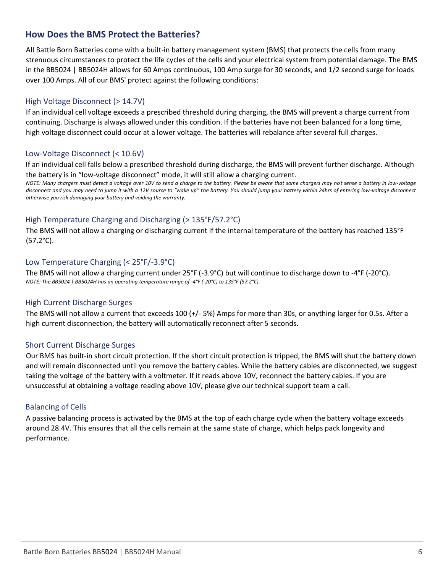# **How Does the BMS Protect the Batteries?**

All Battle Born Batteries come with a built-in battery management system (BMS) that protects the cells from many strenuous circumstances to protect the life cycles of the cells and your electrical system from potential damage. The BMS in the BB5024 | BB5024H allows for 60 Amps continuous, 100 Amp surge for 30 seconds, and 1/2 second surge for loads over 100 Amps. All of our BMS' protect against the following conditions:

#### High Voltage Disconnect (> 14.7V)

If an individual cell voltage exceeds a prescribed threshold during charging, the BMS will prevent a charge current from continuing. Discharge is always allowed under this condition. If the batteries have not been balanced for a long time, high voltage disconnect could occur at a lower voltage. The batteries will rebalance after several full charges.

#### Low-Voltage Disconnect (< 10.6V)

If an individual cell falls below a prescribed threshold during discharge, the BMS will prevent further discharge. Although the battery is in "low-voltage disconnect" mode, it will still allow a charging current.

*NOTE: Many chargers must detect a voltage over 10V to send a charge to the battery. Please be aware that some chargers may not sense a battery in low-voltage disconnect and you may need to jump it with a 12V source to "wake up" the battery. You should jump your battery within 24hrs of entering low-voltage disconnect otherwise you risk damaging your battery and voiding the warranty.* 

#### High Temperature Charging and Discharging (> 135°F/57.2°C)

The BMS will not allow a charging or discharging current if the internal temperature of the battery has reached 135°F (57.2°C).

#### Low Temperature Charging (< 25°F/-3.9°C)

The BMS will not allow a charging current under 25°F (-3.9°C) but will continue to discharge down to -4°F (-20°C). *NOTE: The BB5024 | BB5024H has an operating temperature range of -4°F (-20°C) to 135°F (57.2°C).*

#### High Current Discharge Surges

The BMS will not allow a current that exceeds 100 (+/- 5%) Amps for more than 30s, or anything larger for 0.5s. After a high current disconnection, the battery will automatically reconnect after 5 seconds.

#### Short Current Discharge Surges

Our BMS has built-in short circuit protection. If the short circuit protection is tripped, the BMS will shut the battery down and will remain disconnected until you remove the battery cables. While the battery cables are disconnected, we suggest taking the voltage of the battery with a voltmeter. If it reads above 10V, reconnect the battery cables. If you are unsuccessful at obtaining a voltage reading above 10V, please give our technical support team a call.

#### Balancing of Cells

A passive balancing process is activated by the BMS at the top of each charge cycle when the battery voltage exceeds around 28.4V. This ensures that all the cells remain at the same state of charge, which helps pack longevity and performance.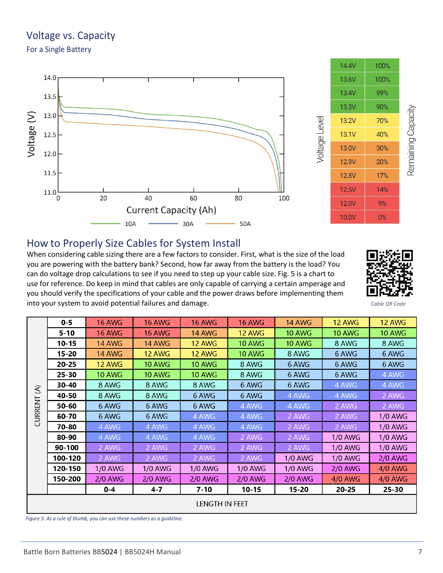# Voltage vs. Capacity

For a Single Battery





# Remaining Capacity

# How to Properly Size Cables for System Install

When considering cable sizing there are a few factors to consider. First, what is the size of the load you are powering with the battery bank? Second, how far away from the battery is the load? You can do voltage drop calculations to see if you need to step up your cable size. Fig. 5 is a chart to use for reference. Do keep in mind that cables are only capable of carrying a certain amperage and you should verify the specifications of your cable and the power draws before implementing them into your system to avoid potential failures and damage. *Cable QR Code Cable QR Code* 



|                           | $0 - 5$   | <b>16 AWG</b>  | <b>16 AWG</b> | <b>16 AWG</b>  | <b>16 AWG</b> | <b>14 AWG</b>  | <b>12 AWG</b>  | <b>12 AWG</b>  |  |
|---------------------------|-----------|----------------|---------------|----------------|---------------|----------------|----------------|----------------|--|
| $\mathfrak{S}$<br>CURRENT | $5 - 10$  | <b>16 AWG</b>  | <b>16 AWG</b> | 14 AWG         | 12 AWG        | <b>10 AWG</b>  | <b>10 AWG</b>  | <b>10 AWG</b>  |  |
|                           | $10 - 15$ | <b>14 AWG</b>  | <b>14 AWG</b> | 12 AWG         | <b>10 AWG</b> | <b>10 AWG</b>  | 8 AWG          | 8 AWG          |  |
|                           | $15 - 20$ | <b>14 AWG</b>  | <b>12 AWG</b> | <b>12 AWG</b>  | <b>10 AWG</b> | 8 AWG          | 6 AWG          | 6 AWG          |  |
|                           | $20 - 25$ | <b>12 AWG</b>  | <b>10 AWG</b> | <b>10 AWG</b>  | 8 AWG         | 6 AWG          | 6 AWG          | 6 AWG          |  |
|                           | $25 - 30$ | <b>10 AWG</b>  | <b>10 AWG</b> | <b>10 AWG</b>  | 8 AWG         | 6 AWG          | 6 AWG          | 4 AWG          |  |
|                           | 30-40     | 8 AWG          | 8 AWG         | 8 AWG          | 6 AWG         | 6 AWG          | 4 AWG          | 4 AWG          |  |
|                           | 40-50     | 8 AWG          | 8 AWG         | 6 AWG          | 6 AWG         | 4 AWG          | 4 AWG          | 2 AWG          |  |
|                           | 50-60     | 6 AWG          | 6 AWG         | 6 AWG          | 4 AWG         | 4 AWG          | 2 AWG          | 2 AWG          |  |
|                           | 60-70     | 6 AWG          | 6 AWG         | 4 AWG          | 4 AWG         | 2 AWG          | 2 AWG          | 1/0 AWG        |  |
|                           | 70-80     | 4 AWG          | 4 AWG         | 4 AWG          | 4 AWG         | 2 AWG          | 2 AWG          | <b>1/0 AWG</b> |  |
|                           | 80-90     | 4 AWG          | 4 AWG         | 4 AWG          | 2 AWG         | 2 AWG          | <b>1/0 AWG</b> | <b>1/0 AWG</b> |  |
|                           | 90-100    | 2 AWG          | 2 AWG         | 2 AWG          | 2 AWG         | 2 AWG          | <b>1/0 AWG</b> | <b>1/0 AWG</b> |  |
|                           | 100-120   | 2 AWG          | 2 AWG         | 2 AWG          | 2 AWG         | <b>1/0 AWG</b> | <b>1/0 AWG</b> | $2/0$ AWG      |  |
|                           | 120-150   | 1/0 AWG        | 1/0 AWG       | <b>1/0 AWG</b> | 1/0 AWG       | <b>1/0 AWG</b> | <b>2/0 AWG</b> | <b>4/0 AWG</b> |  |
|                           | 150-200   | <b>2/0 AWG</b> | $2/0$ AWG     | $2/0$ AWG      | $2/0$ AWG     | <b>2/0 AWG</b> | 4/0 AWG        | 4/0 AWG        |  |
|                           |           | $0-4$          | $4 - 7$       | $7 - 10$       | $10 - 15$     | $15 - 20$      | $20 - 25$      | $25 - 30$      |  |
| LENGTH IN FEET            |           |                |               |                |               |                |                |                |  |

*Figure 5: As a rule of thumb, you can use these numbers as a guideline.*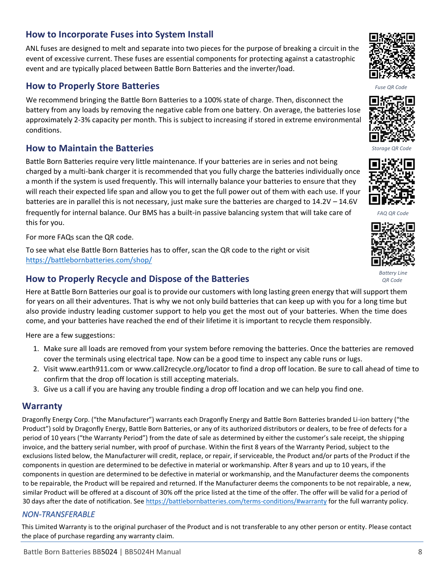# **How to Incorporate Fuses into System Install**

ANL fuses are designed to melt and separate into two pieces for the purpose of breaking a circuit in the event of excessive current. These fuses are essential components for protecting against a catastrophic event and are typically placed between Battle Born Batteries and the inverter/load.

#### **How to Properly Store Batteries**

We recommend bringing the Battle Born Batteries to a 100% state of charge. Then, disconnect the battery from any loads by removing the negative cable from one battery. On average, the batteries lose approximately 2-3% capacity per month. This is subject to increasing if stored in extreme environmental conditions.

# **How to Maintain the Batteries**

Battle Born Batteries require very little maintenance. If your batteries are in series and not being charged by a multi-bank charger it is recommended that you fully charge the batteries individually once a month if the system is used frequently. This will internally balance your batteries to ensure that they will reach their expected life span and allow you to get the full power out of them with each use. If your batteries are in parallel this is not necessary, just make sure the batteries are charged to 14.2V – 14.6V frequently for internal balance. Our BMS has a built-in passive balancing system that will take care of *FAQ QR Code*  this for you.

For more FAQs scan the QR code.

To see what else Battle Born Batteries has to offer, scan the QR code to the right or visit <https://battlebornbatteries.com/shop/>

# **How to Properly Recycle and Dispose of the Batteries**

Here at Battle Born Batteries our goal is to provide our customers with long lasting green energy that will support them for years on all their adventures. That is why we not only build batteries that can keep up with you for a long time but also provide industry leading customer support to help you get the most out of your batteries. When the time does come, and your batteries have reached the end of their lifetime it is important to recycle them responsibly.

Here are a few suggestions:

- 1. Make sure all loads are removed from your system before removing the batteries. Once the batteries are removed cover the terminals using electrical tape. Now can be a good time to inspect any cable runs or lugs.
- 2. Visit www.earth911.com or www.call2recycle.org/locator to find a drop off location. Be sure to call ahead of time to confirm that the drop off location is still accepting materials.
- 3. Give us a call if you are having any trouble finding a drop off location and we can help you find one.

#### **Warranty**

Dragonfly Energy Corp. ("the Manufacturer") warrants each Dragonfly Energy and Battle Born Batteries branded Li-ion battery ("the Product") sold by Dragonfly Energy, Battle Born Batteries, or any of its authorized distributors or dealers, to be free of defects for a period of 10 years ("the Warranty Period") from the date of sale as determined by either the customer's sale receipt, the shipping invoice, and the battery serial number, with proof of purchase. Within the first 8 years of the Warranty Period, subject to the exclusions listed below, the Manufacturer will credit, replace, or repair, if serviceable, the Product and/or parts of the Product if the components in question are determined to be defective in material or workmanship. After 8 years and up to 10 years, if the components in question are determined to be defective in material or workmanship, and the Manufacturer deems the components to be repairable, the Product will be repaired and returned. If the Manufacturer deems the components to be not repairable, a new, similar Product will be offered at a discount of 30% off the price listed at the time of the offer. The offer will be valid for a period of 30 days after the date of notification. See https://battlebornbatteries.com/terms-conditions/#warranty for the full warranty policy.

#### *NON-TRANSFERABLE*

This Limited Warranty is to the original purchaser of the Product and is not transferable to any other person or entity. Please contact the place of purchase regarding any warranty claim.